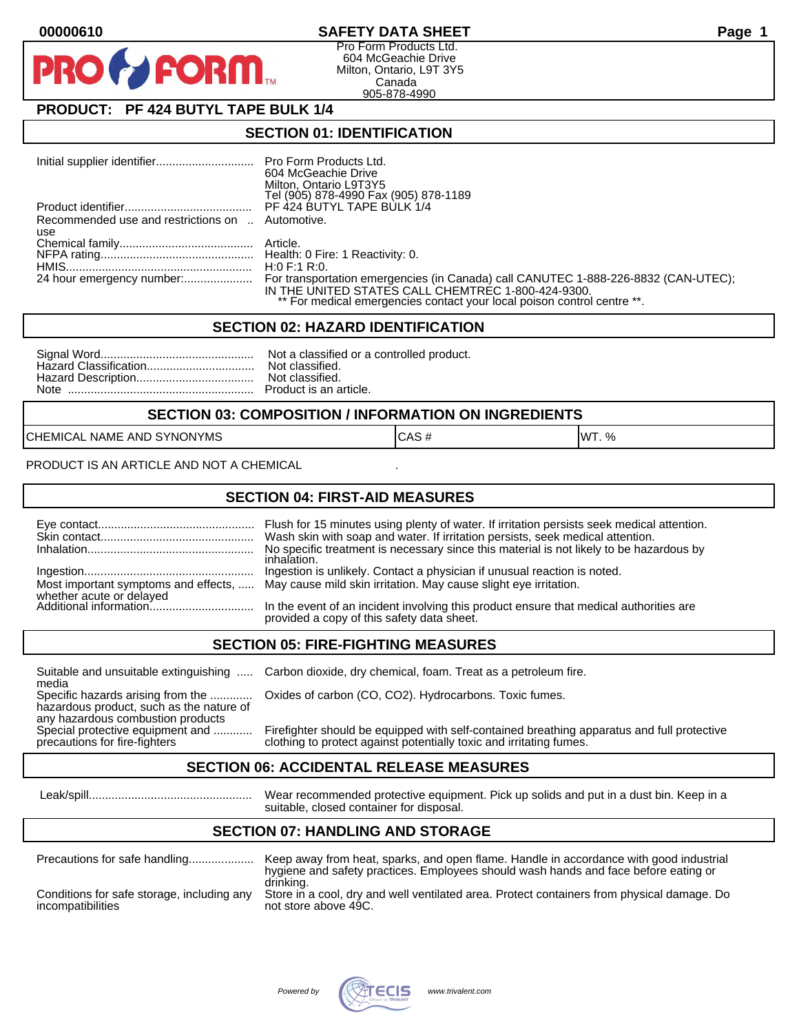# **00000610 SAFETY DATA SHEET Page 1**

Pro Form Products Ltd. 604 McGeachie Drive Milton, Ontario, L9T 3Y5 Canada 905-878-4990

# **PRODUCT: PF 424 BUTYL TAPE BULK 1/4**

**FORM** 

#### **SECTION 01: IDENTIFICATION**

|                                                  | 604 McGeachie Drive                                                                |
|--------------------------------------------------|------------------------------------------------------------------------------------|
|                                                  | Milton, Ontario L9T3Y5                                                             |
|                                                  | Tel (905) 878-4990 Fax (905) 878-1189                                              |
|                                                  | PF 424 BUTYL TAPE BULK 1/4                                                         |
| Recommended use and restrictions on  Automotive. |                                                                                    |
| use                                              |                                                                                    |
|                                                  |                                                                                    |
|                                                  |                                                                                    |
|                                                  | H:0 F:1 R:0.                                                                       |
| 24 hour emergency number:                        | For transportation emergencies (in Canada) call CANUTEC 1-888-226-8832 (CAN-UTEC); |
|                                                  | IN THE UNITED STATES CALL CHEMTREC 1-800-424-9300.                                 |
|                                                  | ** For medical emergencies contact your local poison control centre **.            |

#### **SECTION 02: HAZARD IDENTIFICATION**

#### **SECTION 03: COMPOSITION / INFORMATION ON INGREDIENTS**

CHEMICAL NAME AND SYNONYMS CASE CAS # CAS # WT. %

PRODUCT IS AN ARTICLE AND NOT A CHEMICAL

### **SECTION 04: FIRST-AID MEASURES**

|                                                    | Flush for 15 minutes using plenty of water. If irritation persists seek medical attention.<br>Wash skin with soap and water. If irritation persists, seek medical attention.<br>No specific treatment is necessary since this material is not likely to be hazardous by<br>inhalation. |
|----------------------------------------------------|----------------------------------------------------------------------------------------------------------------------------------------------------------------------------------------------------------------------------------------------------------------------------------------|
|                                                    | Ingestion is unlikely. Contact a physician if unusual reaction is noted.<br>Most important symptoms and effects,  May cause mild skin irritation. May cause slight eye irritation.                                                                                                     |
| whether acute or delayed<br>Additional information | In the event of an incident involving this product ensure that medical authorities are<br>provided a copy of this safety data sheet.                                                                                                                                                   |

## **SECTION 05: FIRE-FIGHTING MEASURES**

media<br>Specific hazards arising from the .............

hazardous product, such as the nature of any hazardous combustion products<br>Special protective equipment and ............

Suitable and unsuitable extinguishing ..... Carbon dioxide, dry chemical, foam. Treat as a petroleum fire.

Oxides of carbon (CO, CO2). Hydrocarbons. Toxic fumes.

Special protective equipment and ............ Firefighter should be equipped with self-contained breathing apparatus and full protective<br>precautions for fire-fighters on the clothing to protect against potentially toxic an clothing to protect against potentially toxic and irritating fumes.

### **SECTION 06: ACCIDENTAL RELEASE MEASURES**

 Leak/spill.................................................. Wear recommended protective equipment. Pick up solids and put in a dust bin. Keep in a suitable, closed container for disposal.

# **SECTION 07: HANDLING AND STORAGE**

| Precautions for safe handling                                   | Keep away from heat, sparks, and open flame. Handle in accordance with good industrial<br>hygiene and safety practices. Employees should wash hands and face before eating or |
|-----------------------------------------------------------------|-------------------------------------------------------------------------------------------------------------------------------------------------------------------------------|
| Conditions for safe storage, including any<br>incompatibilities | drinking.<br>Store in a cool, dry and well ventilated area. Protect containers from physical damage. Do<br>not store above 49C.                                               |

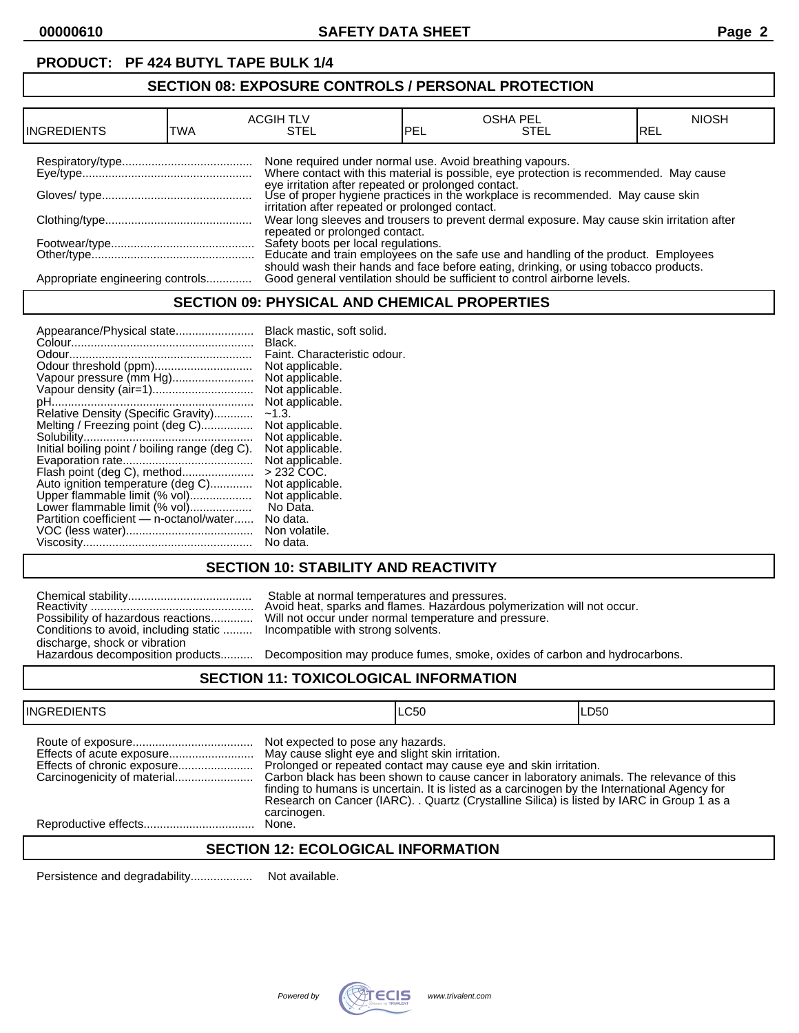# **PRODUCT: PF 424 BUTYL TAPE BULK 1/4**

# **SECTION 08: EXPOSURE CONTROLS / PERSONAL PROTECTION**

| INGREDIENTS                      | TWA | <b>ACGIH TLV</b><br>STEL                                 | PEL | <b>OSHA PEL</b><br>STEL                                                                                                                                                                                                          | <b>NIOSH</b><br>IREL |
|----------------------------------|-----|----------------------------------------------------------|-----|----------------------------------------------------------------------------------------------------------------------------------------------------------------------------------------------------------------------------------|----------------------|
|                                  |     | None required under normal use. Avoid breathing vapours. |     | Where contact with this material is possible, eye protection is recommended. May cause<br>eye irritation after repeated or prolonged contact.<br>Use of proper hygiene practices in the workplace is recommended. May cause skin |                      |
|                                  |     | irritation after repeated or prolonged contact.          |     |                                                                                                                                                                                                                                  |                      |
|                                  |     | repeated or prolonged contact.                           |     | Wear long sleeves and trousers to prevent dermal exposure. May cause skin irritation after                                                                                                                                       |                      |
|                                  |     |                                                          |     | Safety boots per local regulations.<br>Educate and train employees on the safe use and handling of the product. Employees                                                                                                        |                      |
| Appropriate engineering controls |     |                                                          |     | should wash their hands and face before eating, drinking, or using tobacco products.<br>Good general ventilation should be sufficient to control airborne levels.                                                                |                      |

# **SECTION 09: PHYSICAL AND CHEMICAL PROPERTIES**

| Not applicable.<br>Vapour pressure (mm Hg)<br>Not applicable.<br>Vapour density (air=1)<br>Relative Density (Specific Gravity)<br>$-1.3.$<br>Melting / Freezing point (deg C)<br>Initial boiling point / boiling range (deg C).<br>$>232$ COC.<br>Flash point (deg C), method<br>Auto ignition temperature (deg C)<br>Upper flammable limit (% vol)<br>Lower flammable limit (% vol)<br>No Data.<br>Partition coefficient - n-octanol/water<br>No data.<br>No data. | Not applicable.<br>Not applicable.<br>Not applicable.<br>Not applicable.<br>Not applicable.<br>Not applicable.<br>Not applicable.<br>Not applicable.<br>Non volatile. |
|---------------------------------------------------------------------------------------------------------------------------------------------------------------------------------------------------------------------------------------------------------------------------------------------------------------------------------------------------------------------------------------------------------------------------------------------------------------------|-----------------------------------------------------------------------------------------------------------------------------------------------------------------------|
|---------------------------------------------------------------------------------------------------------------------------------------------------------------------------------------------------------------------------------------------------------------------------------------------------------------------------------------------------------------------------------------------------------------------------------------------------------------------|-----------------------------------------------------------------------------------------------------------------------------------------------------------------------|

# **SECTION 10: STABILITY AND REACTIVITY**

|                                                                           | Stable at normal temperatures and pressures.<br>Avoid heat, sparks and flames. Hazardous poly |
|---------------------------------------------------------------------------|-----------------------------------------------------------------------------------------------|
|                                                                           | Possibility of hazardous reactions Will not occur under normal temperature and pr             |
| Conditions to avoid, including static  Incompatible with strong solvents. |                                                                                               |
| discharge, shock or vibration                                             |                                                                                               |
|                                                                           | Hazardous decomposition products Decomposition may produce fumes. smoke. oxi                  |

Reactivity .................................................. Avoid heat, sparks and flames. Hazardous polymerization will not occur. Possibility of hazardous reactions............. Will not occur under normal temperature and pressure. Incompatible with strong solvents.

Decomposition may produce fumes, smoke, oxides of carbon and hydrocarbons.

### **SECTION 11: TOXICOLOGICAL INFORMATION**

| <b>INGREDIENTS</b>          |                                                                                                      | LC50                                                                                                                                                                                                                                                                                                                                                       | LD50 |
|-----------------------------|------------------------------------------------------------------------------------------------------|------------------------------------------------------------------------------------------------------------------------------------------------------------------------------------------------------------------------------------------------------------------------------------------------------------------------------------------------------------|------|
| Effects of chronic exposure | Not expected to pose any hazards.<br>May cause slight eye and slight skin irritation.<br>carcinogen. | Prolonged or repeated contact may cause eye and skin irritation.<br>Carbon black has been shown to cause cancer in laboratory animals. The relevance of this<br>finding to humans is uncertain. It is listed as a carcinogen by the International Agency for<br>Research on Cancer (IARC). . Quartz (Crystalline Silica) is listed by IARC in Group 1 as a |      |
|                             | None.                                                                                                |                                                                                                                                                                                                                                                                                                                                                            |      |
|                             |                                                                                                      |                                                                                                                                                                                                                                                                                                                                                            |      |

# **SECTION 12: ECOLOGICAL INFORMATION**

Persistence and degradability................... Not available.